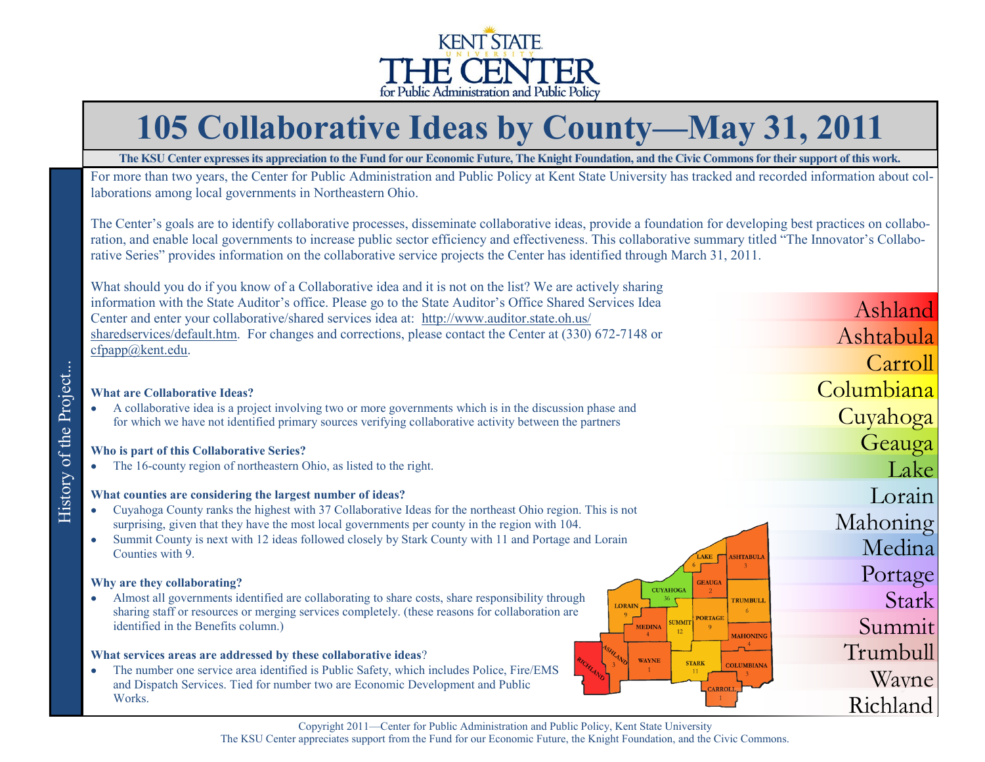

# **105 Collaborative Ideas by County—May 31, 2011**

**The KSU Center expresses its appreciation to the Fund for our Economic Future, The Knight Foundation, and the Civic Commons for their support of this work.**

For more than two years, the Center for Public Administration and Public Policy at Kent State University has tracked and recorded information about collaborations among local governments in Northeastern Ohio.

The Center's goals are to identify collaborative processes, disseminate collaborative ideas, provide a foundation for developing best practices on collaboration, and enable local governments to increase public sector efficiency and effectiveness. This collaborative summary titled "The Innovator's Collaborative Series" provides information on the collaborative service projects the Center has identified through March 31, 2011.

| What should you do if you know of a Collaborative idea and it is not on the list? We are actively sharing                                                                                                                                                               |            |
|-------------------------------------------------------------------------------------------------------------------------------------------------------------------------------------------------------------------------------------------------------------------------|------------|
| information with the State Auditor's office. Please go to the State Auditor's Office Shared Services Idea<br>Center and enter your collaborative/shared services idea at: http://www.auditor.state.oh.us/                                                               | Ashland    |
| sharedservices/default.htm. For changes and corrections, please contact the Center at (330) 672-7148 or                                                                                                                                                                 | Ashtabula  |
| cfpapp@kent.edu.                                                                                                                                                                                                                                                        | Carroll    |
| <b>What are Collaborative Ideas?</b>                                                                                                                                                                                                                                    | Columbiana |
| A collaborative idea is a project involving two or more governments which is in the discussion phase and<br>$\bullet$<br>for which we have not identified primary sources verifying collaborative activity between the partners                                         | Cuyahoga   |
| Who is part of this Collaborative Series?                                                                                                                                                                                                                               | Geauga     |
| The 16-county region of northeastern Ohio, as listed to the right.<br>$\bullet$                                                                                                                                                                                         | Lake       |
| What counties are considering the largest number of ideas?                                                                                                                                                                                                              | Lorain     |
| Cuyahoga County ranks the highest with 37 Collaborative Ideas for the northeast Ohio region. This is not<br>$\bullet$<br>surprising, given that they have the most local governments per county in the region with 104.                                                 | Mahoning   |
| Summit County is next with 12 ideas followed closely by Stark County with 11 and Portage and Lorain<br>٠<br>Counties with 9.<br><b>AKE</b><br><b>SHTABU</b>                                                                                                             | Medina     |
| Why are they collaborating?<br><b>GEAUGA</b>                                                                                                                                                                                                                            | Portage    |
| <b>CUYAHOGA</b><br>Almost all governments identified are collaborating to share costs, share responsibility through<br>$\bullet$<br><b>TRUMBULI</b><br><b>LORAIN</b><br>sharing staff or resources or merging services completely. (these reasons for collaboration are | Stark      |
| <b>PORTAGE</b><br><b>SUMMIT</b><br>identified in the Benefits column.)<br><b>MEDINA</b><br><b>MAHONING</b>                                                                                                                                                              | Summit     |
| What services areas are addressed by these collaborative ideas?<br><b>WAYNE</b><br><b>STARK</b><br><b>COLUMBIANA</b>                                                                                                                                                    | Trumbull   |
| The number one service area identified is Public Safety, which includes Police, Fire/EMS<br>$\bullet$<br>and Dispatch Services. Tied for number two are Economic Development and Public<br>CARROLI                                                                      | Wayne      |
| Works.                                                                                                                                                                                                                                                                  | Richland   |

History of the Project...

History of the Project...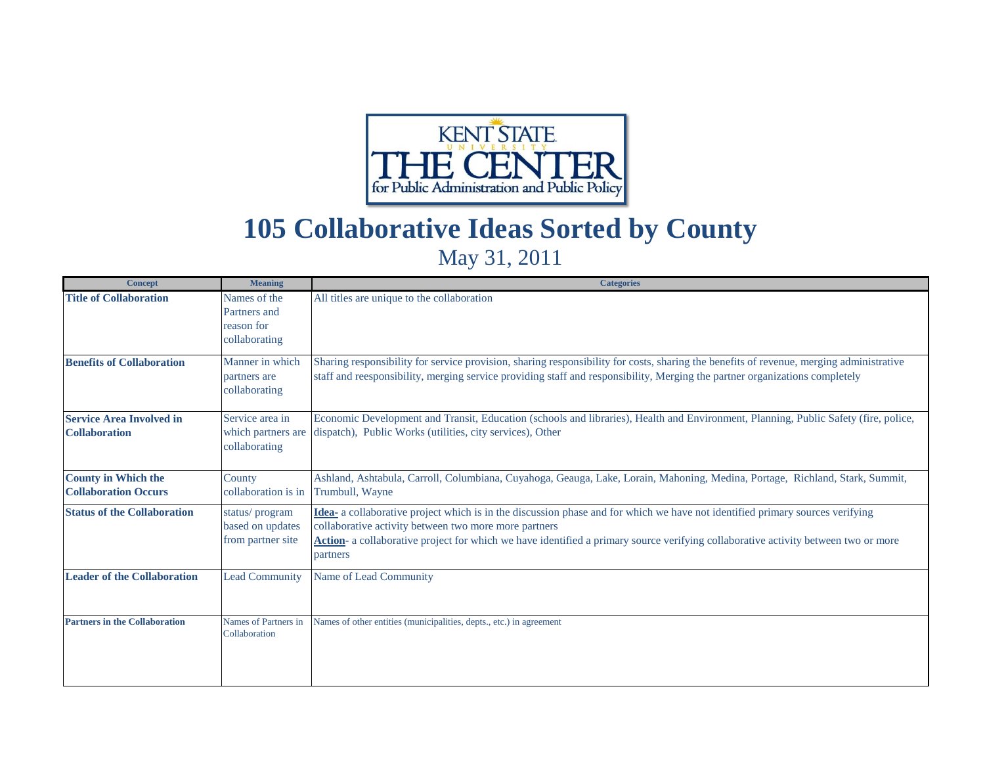

# **105 Collaborative Ideas Sorted by County**

## May 31, 2011

| <b>Concept</b>                                            | <b>Meaning</b>                                              | <b>Categories</b>                                                                                                                                                                                                                                                                                                                        |
|-----------------------------------------------------------|-------------------------------------------------------------|------------------------------------------------------------------------------------------------------------------------------------------------------------------------------------------------------------------------------------------------------------------------------------------------------------------------------------------|
| <b>Title of Collaboration</b>                             | Names of the<br>Partners and<br>reason for<br>collaborating | All titles are unique to the collaboration                                                                                                                                                                                                                                                                                               |
| <b>Benefits of Collaboration</b>                          | Manner in which<br>partners are<br>collaborating            | Sharing responsibility for service provision, sharing responsibility for costs, sharing the benefits of revenue, merging administrative<br>staff and reesponsibility, merging service providing staff and responsibility, Merging the partner organizations completely                                                                   |
| <b>Service Area Involved in</b><br><b>Collaboration</b>   | Service area in<br>which partners are<br>collaborating      | Economic Development and Transit, Education (schools and libraries), Health and Environment, Planning, Public Safety (fire, police,<br>dispatch), Public Works (utilities, city services), Other                                                                                                                                         |
| <b>County in Which the</b><br><b>Collaboration Occurs</b> | County<br>collaboration is in                               | Ashland, Ashtabula, Carroll, Columbiana, Cuyahoga, Geauga, Lake, Lorain, Mahoning, Medina, Portage, Richland, Stark, Summit,<br>Trumbull, Wayne                                                                                                                                                                                          |
| <b>Status of the Collaboration</b>                        | status/program<br>based on updates<br>from partner site     | Idea- a collaborative project which is in the discussion phase and for which we have not identified primary sources verifying<br>collaborative activity between two more more partners<br>Action- a collaborative project for which we have identified a primary source verifying collaborative activity between two or more<br>partners |
| <b>Leader of the Collaboration</b>                        | <b>Lead Community</b>                                       | Name of Lead Community                                                                                                                                                                                                                                                                                                                   |
| <b>Partners in the Collaboration</b>                      | Names of Partners in<br>Collaboration                       | Names of other entities (municipalities, depts., etc.) in agreement                                                                                                                                                                                                                                                                      |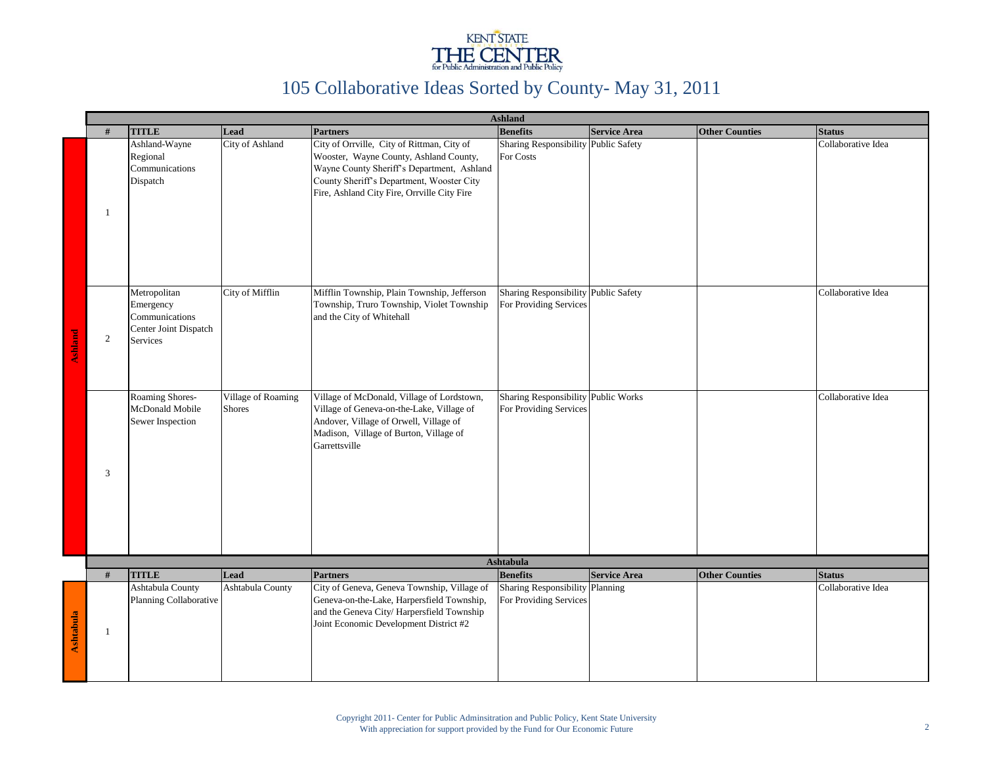

|                |                |                                                                                  |                                     |                                                                                                                                                                                                                                | <b>Ashland</b>                                                 |                     |                       |                    |
|----------------|----------------|----------------------------------------------------------------------------------|-------------------------------------|--------------------------------------------------------------------------------------------------------------------------------------------------------------------------------------------------------------------------------|----------------------------------------------------------------|---------------------|-----------------------|--------------------|
|                | #              | <b>TITLE</b>                                                                     | Lead                                | <b>Partners</b>                                                                                                                                                                                                                | <b>Benefits</b>                                                | <b>Service Area</b> | <b>Other Counties</b> | <b>Status</b>      |
|                | 1              | Ashland-Wayne<br>Regional<br>Communications<br>Dispatch                          | City of Ashland                     | City of Orrville, City of Rittman, City of<br>Wooster, Wayne County, Ashland County,<br>Wayne County Sheriff's Department, Ashland<br>County Sheriff's Department, Wooster City<br>Fire, Ashland City Fire, Orrville City Fire | Sharing Responsibility Public Safety<br>For Costs              |                     |                       | Collaborative Idea |
| <b>Ashland</b> | $\overline{c}$ | Metropolitan<br>Emergency<br>Communications<br>Center Joint Dispatch<br>Services | City of Mifflin                     | Mifflin Township, Plain Township, Jefferson<br>Township, Truro Township, Violet Township<br>and the City of Whitehall                                                                                                          | Sharing Responsibility Public Safety<br>For Providing Services |                     |                       | Collaborative Idea |
|                | 3              | Roaming Shores-<br>McDonald Mobile<br>Sewer Inspection                           | Village of Roaming<br><b>Shores</b> | Village of McDonald, Village of Lordstown,<br>Village of Geneva-on-the-Lake, Village of<br>Andover, Village of Orwell, Village of<br>Madison, Village of Burton, Village of<br>Garrettsville                                   | Sharing Responsibility Public Works<br>For Providing Services  |                     |                       | Collaborative Idea |
|                |                |                                                                                  |                                     |                                                                                                                                                                                                                                | <b>Ashtabula</b>                                               |                     |                       |                    |
|                | #              | <b>TITLE</b>                                                                     | Lead                                | <b>Partners</b>                                                                                                                                                                                                                | <b>Benefits</b>                                                | <b>Service Area</b> | <b>Other Counties</b> | <b>Status</b>      |
| Ashtabula      | 1              | Ashtabula County<br>Planning Collaborative                                       | Ashtabula County                    | City of Geneva, Geneva Township, Village of<br>Geneva-on-the-Lake, Harpersfield Township,<br>and the Geneva City/Harpersfield Township<br>Joint Economic Development District #2                                               | Sharing Responsibility Planning<br>For Providing Services      |                     |                       | Collaborative Idea |
|                |                |                                                                                  |                                     |                                                                                                                                                                                                                                |                                                                |                     |                       |                    |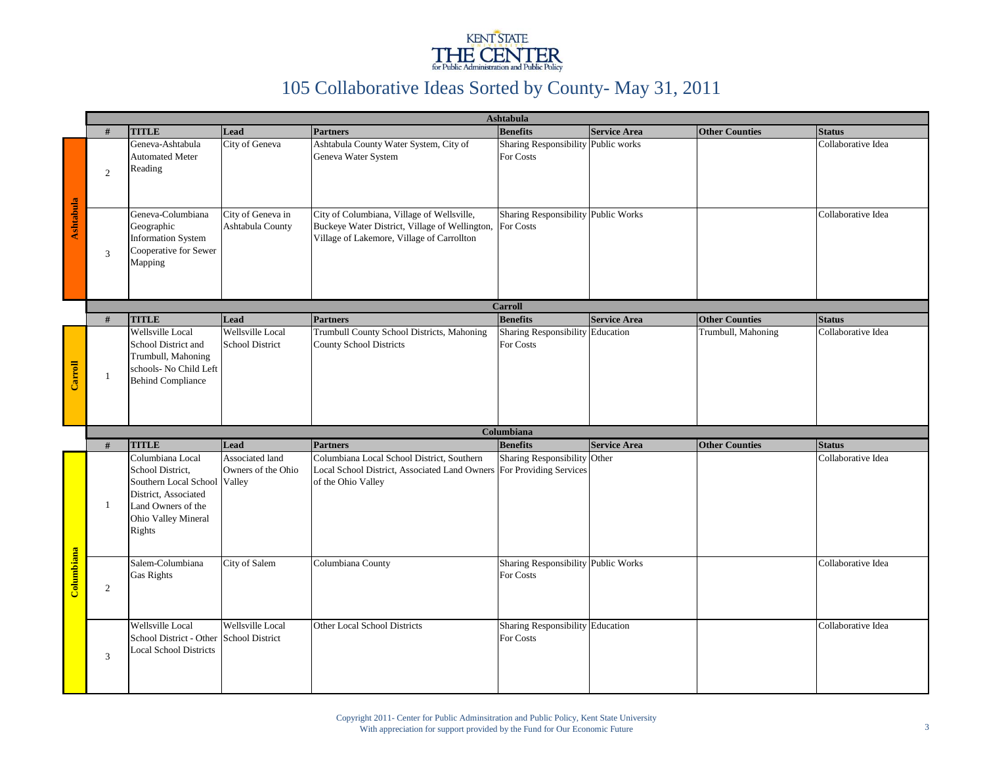

| Ashtabula  |                |                                                                                                                                              |                                                 |                                                                                                                                                      |                                                         |                     |                       |                    |
|------------|----------------|----------------------------------------------------------------------------------------------------------------------------------------------|-------------------------------------------------|------------------------------------------------------------------------------------------------------------------------------------------------------|---------------------------------------------------------|---------------------|-----------------------|--------------------|
|            | #              | <b>TITLE</b>                                                                                                                                 | Lead                                            | <b>Partners</b>                                                                                                                                      | <b>Benefits</b>                                         | <b>Service Area</b> | <b>Other Counties</b> | <b>Status</b>      |
|            | $\overline{2}$ | Geneva-Ashtabula<br><b>Automated Meter</b><br>Reading                                                                                        | City of Geneva                                  | Ashtabula County Water System, City of<br>Geneva Water System                                                                                        | Sharing Responsibility Public works<br>For Costs        |                     |                       | Collaborative Idea |
| Ashtabula  | 3              | Geneva-Columbiana<br>Geographic<br><b>Information System</b><br>Cooperative for Sewer<br>Mapping                                             | City of Geneva in<br>Ashtabula County           | City of Columbiana, Village of Wellsville,<br>Buckeye Water District, Village of Wellington, For Costs<br>Village of Lakemore, Village of Carrollton | Sharing Responsibility Public Works                     |                     |                       | Collaborative Idea |
|            |                |                                                                                                                                              |                                                 |                                                                                                                                                      | <b>Carroll</b>                                          |                     |                       |                    |
|            | #              | <b>TITLE</b>                                                                                                                                 | Lead                                            | <b>Partners</b>                                                                                                                                      | <b>Benefits</b>                                         | <b>Service Area</b> | <b>Other Counties</b> | <b>Status</b>      |
| Carroll    | -1             | Wellsville Local<br>School District and<br>Trumbull, Mahoning<br>schools- No Child Left<br><b>Behind Compliance</b>                          | Wellsville Local<br><b>School District</b>      | Trumbull County School Districts, Mahoning<br><b>County School Districts</b>                                                                         | <b>Sharing Responsibility Education</b><br>For Costs    |                     | Trumbull, Mahoning    | Collaborative Idea |
|            |                |                                                                                                                                              |                                                 |                                                                                                                                                      | Columbiana                                              |                     |                       |                    |
|            | #              | <b>TITLE</b>                                                                                                                                 | Lead                                            | <b>Partners</b>                                                                                                                                      | <b>Benefits</b>                                         | <b>Service Area</b> | <b>Other Counties</b> | <b>Status</b>      |
|            | $\mathbf{1}$   | Columbiana Local<br>School District,<br>Southern Local School<br>District, Associated<br>Land Owners of the<br>Ohio Valley Mineral<br>Rights | Associated land<br>Owners of the Ohio<br>Valley | Columbiana Local School District, Southern<br>Local School District, Associated Land Owners For Providing Services<br>of the Ohio Valley             | Sharing Responsibility                                  | Other               |                       | Collaborative Idea |
| Columbiana | $\overline{2}$ | Salem-Columbiana<br><b>Gas Rights</b>                                                                                                        | City of Salem                                   | Columbiana County                                                                                                                                    | <b>Sharing Responsibility Public Works</b><br>For Costs |                     |                       | Collaborative Idea |
|            | 3              | Wellsville Local<br>School District - Other School District<br><b>Local School Districts</b>                                                 | <b>Wellsville Local</b>                         | Other Local School Districts                                                                                                                         | <b>Sharing Responsibility Education</b><br>For Costs    |                     |                       | Collaborative Idea |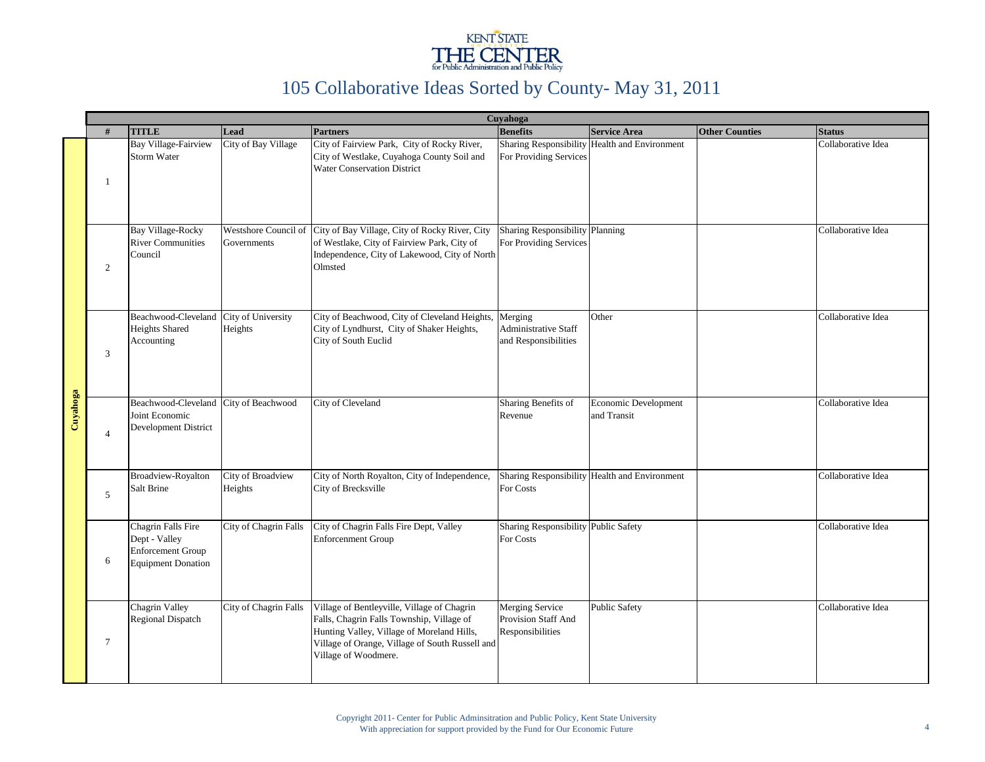

|          |                |                                                                                              |                               |                                                                                                                                                                                                                   | Cuyahoga                                                          |                                               |                       |                    |
|----------|----------------|----------------------------------------------------------------------------------------------|-------------------------------|-------------------------------------------------------------------------------------------------------------------------------------------------------------------------------------------------------------------|-------------------------------------------------------------------|-----------------------------------------------|-----------------------|--------------------|
|          | #              | <b>TITLE</b>                                                                                 | Lead                          | <b>Partners</b>                                                                                                                                                                                                   | <b>Benefits</b>                                                   | <b>Service Area</b>                           | <b>Other Counties</b> | <b>Status</b>      |
|          | $\mathbf{1}$   | <b>Bay Village-Fairview</b><br>Storm Water                                                   | City of Bay Village           | City of Fairview Park, City of Rocky River,<br>City of Westlake, Cuyahoga County Soil and<br><b>Water Conservation District</b>                                                                                   | <b>Sharing Responsibility</b><br>For Providing Services           | Health and Environment                        |                       | Collaborative Idea |
|          | 2              | <b>Bay Village-Rocky</b><br><b>River Communities</b><br>Council                              | Governments                   | Westshore Council of City of Bay Village, City of Rocky River, City<br>of Westlake, City of Fairview Park, City of<br>Independence, City of Lakewood, City of North<br>Olmsted                                    | Sharing Responsibility Planning<br>For Providing Services         |                                               |                       | Collaborative Idea |
|          | 3              | Beachwood-Cleveland<br><b>Heights Shared</b><br>Accounting                                   | City of University<br>Heights | City of Beachwood, City of Cleveland Heights,<br>City of Lyndhurst, City of Shaker Heights,<br>City of South Euclid                                                                                               | Merging<br>Administrative Staff<br>and Responsibilities           | Other                                         |                       | Collaborative Idea |
| Cuyahoga | $\overline{4}$ | Beachwood-Cleveland<br>Joint Economic<br>Development District                                | City of Beachwood             | City of Cleveland                                                                                                                                                                                                 | Sharing Benefits of<br>Revenue                                    | <b>Economic Development</b><br>and Transit    |                       | Collaborative Idea |
|          | $\overline{5}$ | Broadview-Royalton<br>Salt Brine                                                             | City of Broadview<br>Heights  | City of North Royalton, City of Independence,<br>City of Brecksville                                                                                                                                              | For Costs                                                         | Sharing Responsibility Health and Environment |                       | Collaborative Idea |
|          | 6              | Chagrin Falls Fire<br>Dept - Valley<br><b>Enforcement Group</b><br><b>Equipment Donation</b> | City of Chagrin Falls         | City of Chagrin Falls Fire Dept, Valley<br><b>Enforcenment Group</b>                                                                                                                                              | Sharing Responsibility Public Safety<br>For Costs                 |                                               |                       | Collaborative Idea |
|          | $\overline{7}$ | Chagrin Valley<br>Regional Dispatch                                                          | City of Chagrin Falls         | Village of Bentleyville, Village of Chagrin<br>Falls, Chagrin Falls Township, Village of<br>Hunting Valley, Village of Moreland Hills,<br>Village of Orange, Village of South Russell and<br>Village of Woodmere. | <b>Merging Service</b><br>Provision Staff And<br>Responsibilities | <b>Public Safety</b>                          |                       | Collaborative Idea |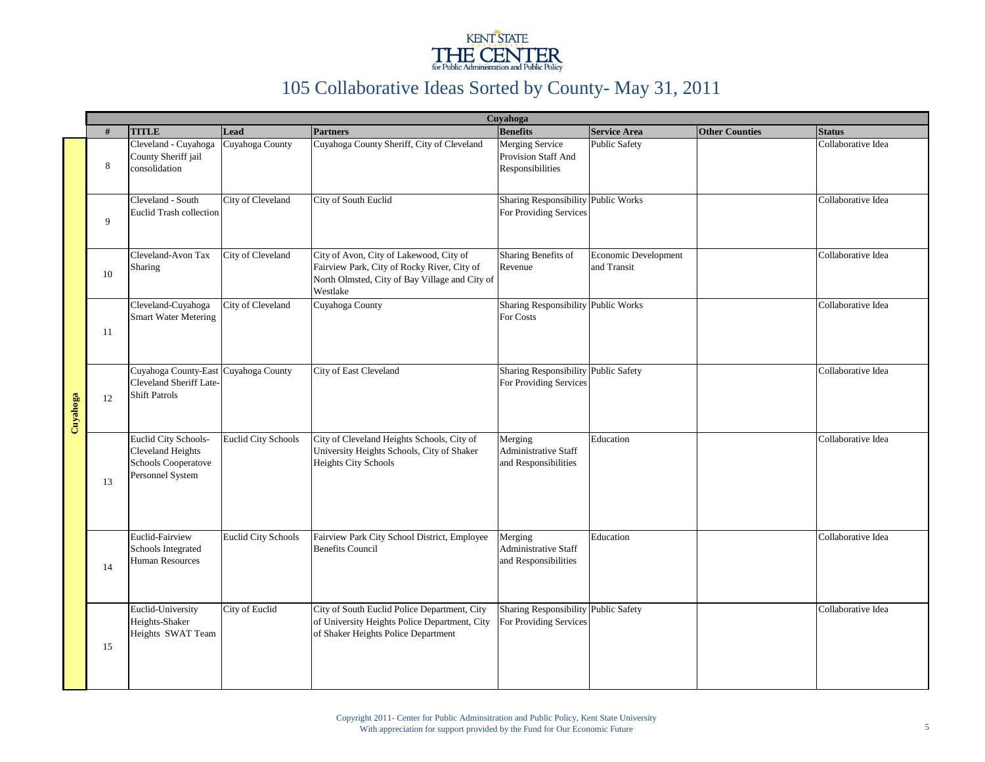

|          |    | Cuyahoga                                                                                    |                            |                                                                                                                                                      |                                                                      |                                     |                       |                    |  |  |  |  |
|----------|----|---------------------------------------------------------------------------------------------|----------------------------|------------------------------------------------------------------------------------------------------------------------------------------------------|----------------------------------------------------------------------|-------------------------------------|-----------------------|--------------------|--|--|--|--|
|          | #  | <b>TITLE</b>                                                                                | Lead                       | <b>Partners</b>                                                                                                                                      | <b>Benefits</b>                                                      | <b>Service Area</b>                 | <b>Other Counties</b> | <b>Status</b>      |  |  |  |  |
|          | 8  | Cleveland - Cuyahoga<br>County Sheriff jail<br>consolidation                                | Cuyahoga County            | Cuyahoga County Sheriff, City of Cleveland                                                                                                           | <b>Merging Service</b><br>Provision Staff And<br>Responsibilities    | <b>Public Safety</b>                |                       | Collaborative Idea |  |  |  |  |
|          | 9  | Cleveland - South<br><b>Euclid Trash collection</b>                                         | City of Cleveland          | City of South Euclid                                                                                                                                 | <b>Sharing Responsibility Public Works</b><br>For Providing Services |                                     |                       | Collaborative Idea |  |  |  |  |
|          | 10 | Cleveland-Avon Tax<br>Sharing                                                               | City of Cleveland          | City of Avon, City of Lakewood, City of<br>Fairview Park, City of Rocky River, City of<br>North Olmsted, City of Bay Village and City of<br>Westlake | Sharing Benefits of<br>Revenue                                       | Economic Development<br>and Transit |                       | Collaborative Idea |  |  |  |  |
|          | 11 | Cleveland-Cuyahoga<br><b>Smart Water Metering</b>                                           | City of Cleveland          | Cuyahoga County                                                                                                                                      | Sharing Responsibility Public Works<br>For Costs                     |                                     |                       | Collaborative Idea |  |  |  |  |
| Cuyahoga | 12 | Cuyahoga County-East Cuyahoga County<br>Cleveland Sheriff Late-<br><b>Shift Patrols</b>     |                            | City of East Cleveland                                                                                                                               | <b>Sharing Responsibility</b><br>For Providing Services              | <b>Public Safety</b>                |                       | Collaborative Idea |  |  |  |  |
|          | 13 | Euclid City Schools-<br>Cleveland Heights<br><b>Schools Cooperatove</b><br>Personnel System | <b>Euclid City Schools</b> | City of Cleveland Heights Schools, City of<br>University Heights Schools, City of Shaker<br><b>Heights City Schools</b>                              | Merging<br>Administrative Staff<br>and Responsibilities              | Education                           |                       | Collaborative Idea |  |  |  |  |
|          | 14 | Euclid-Fairview<br>Schools Integrated<br><b>Human Resources</b>                             | <b>Euclid City Schools</b> | Fairview Park City School District, Employee<br><b>Benefits Council</b>                                                                              | Merging<br><b>Administrative Staff</b><br>and Responsibilities       | Education                           |                       | Collaborative Idea |  |  |  |  |
|          | 15 | Euclid-University<br>Heights-Shaker<br>Heights SWAT Team                                    | City of Euclid             | City of South Euclid Police Department, City<br>of University Heights Police Department, City<br>of Shaker Heights Police Department                 | Sharing Responsibility Public Safety<br>For Providing Services       |                                     |                       | Collaborative Idea |  |  |  |  |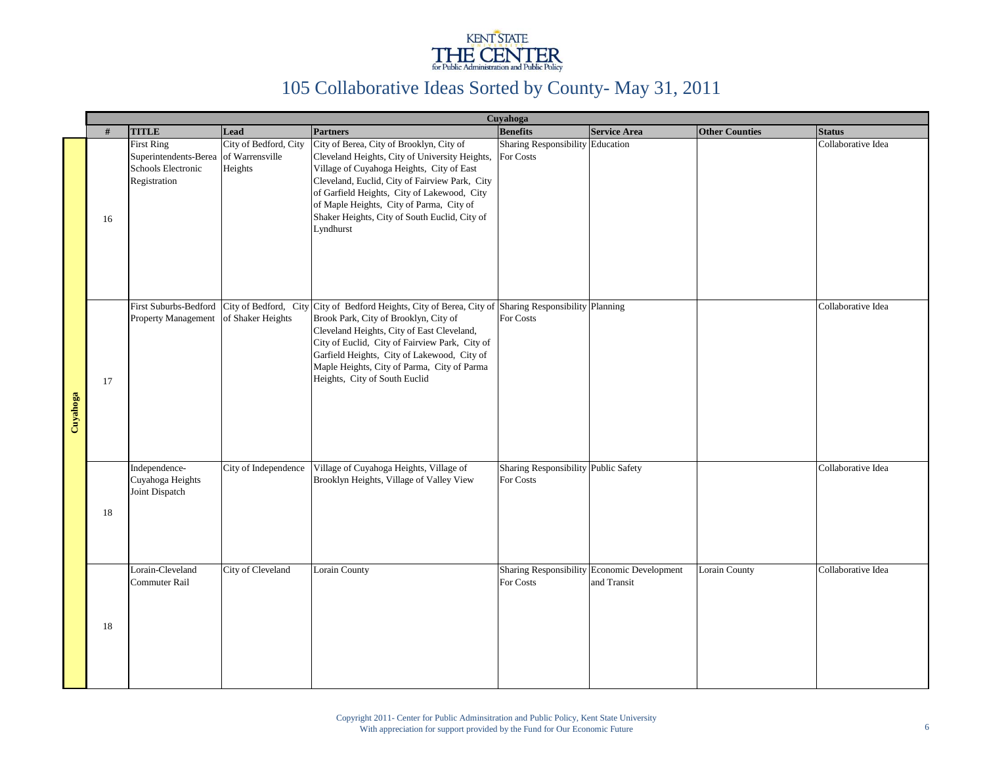

|          |    |                                                                                  |                                                     |                                                                                                                                                                                                                                                                                                                                                                               | Cuyahoga                                          |                                                            |                       |                    |
|----------|----|----------------------------------------------------------------------------------|-----------------------------------------------------|-------------------------------------------------------------------------------------------------------------------------------------------------------------------------------------------------------------------------------------------------------------------------------------------------------------------------------------------------------------------------------|---------------------------------------------------|------------------------------------------------------------|-----------------------|--------------------|
|          | #  | <b>TITLE</b>                                                                     | Lead                                                | <b>Partners</b>                                                                                                                                                                                                                                                                                                                                                               | <b>Benefits</b>                                   | <b>Service Area</b>                                        | <b>Other Counties</b> | <b>Status</b>      |
|          | 16 | <b>First Ring</b><br>Superintendents-Berea<br>Schools Electronic<br>Registration | City of Bedford, City<br>of Warrensville<br>Heights | City of Berea, City of Brooklyn, City of<br>Cleveland Heights, City of University Heights,<br>Village of Cuyahoga Heights, City of East<br>Cleveland, Euclid, City of Fairview Park, City<br>of Garfield Heights, City of Lakewood, City<br>of Maple Heights, City of Parma, City of<br>Shaker Heights, City of South Euclid, City of<br>Lyndhurst                            | Sharing Responsibility Education<br>For Costs     |                                                            |                       | Collaborative Idea |
| Cuyahoga | 17 | First Suburbs-Bedford<br><b>Property Management</b>                              | of Shaker Heights                                   | City of Bedford, City City of Bedford Heights, City of Berea, City of Sharing Responsibility Planning<br>Brook Park, City of Brooklyn, City of<br>Cleveland Heights, City of East Cleveland,<br>City of Euclid, City of Fairview Park, City of<br>Garfield Heights, City of Lakewood, City of<br>Maple Heights, City of Parma, City of Parma<br>Heights, City of South Euclid | For Costs                                         |                                                            |                       | Collaborative Idea |
|          | 18 | Independence-<br>Cuyahoga Heights<br>Joint Dispatch                              | City of Independence                                | Village of Cuyahoga Heights, Village of<br>Brooklyn Heights, Village of Valley View                                                                                                                                                                                                                                                                                           | Sharing Responsibility Public Safety<br>For Costs |                                                            |                       | Collaborative Idea |
|          | 18 | Lorain-Cleveland<br>Commuter Rail                                                | City of Cleveland                                   | Lorain County                                                                                                                                                                                                                                                                                                                                                                 | For Costs                                         | Sharing Responsibility Economic Development<br>and Transit | Lorain County         | Collaborative Idea |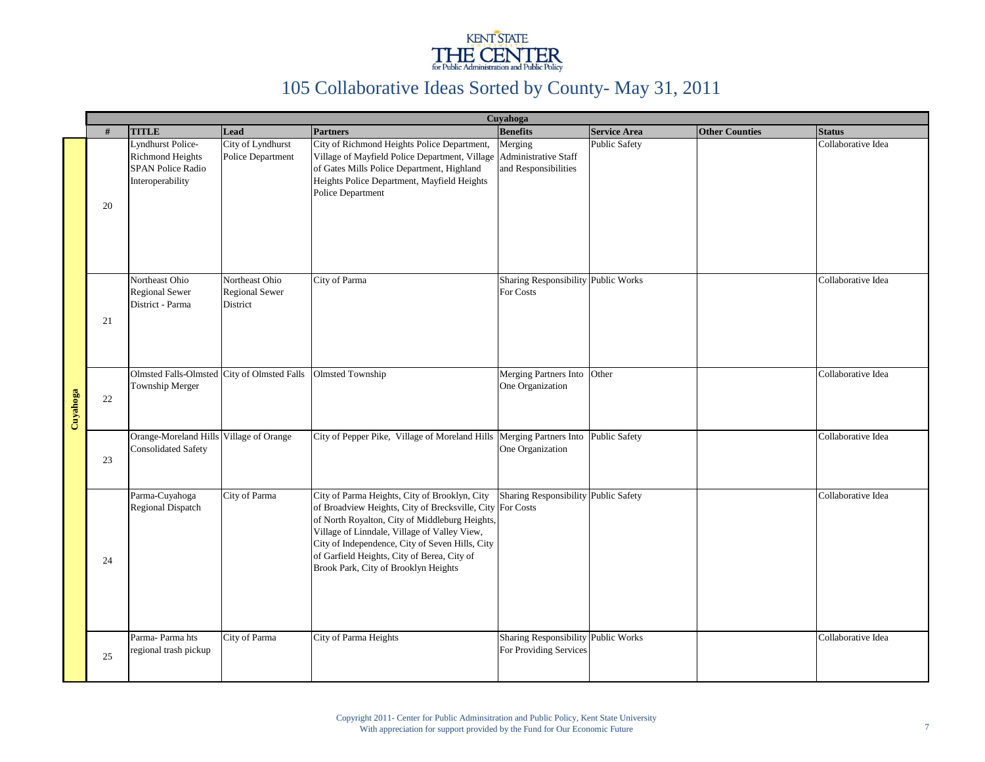

|          |    | Cuyahoga                                                                                            |                                                            |                                                                                                                                                                                                                                                                                                                                                        |                                                                |                      |                       |                    |  |  |  |  |  |
|----------|----|-----------------------------------------------------------------------------------------------------|------------------------------------------------------------|--------------------------------------------------------------------------------------------------------------------------------------------------------------------------------------------------------------------------------------------------------------------------------------------------------------------------------------------------------|----------------------------------------------------------------|----------------------|-----------------------|--------------------|--|--|--|--|--|
|          | #  | <b>TITLE</b>                                                                                        | Lead                                                       | <b>Partners</b>                                                                                                                                                                                                                                                                                                                                        | <b>Benefits</b>                                                | <b>Service Area</b>  | <b>Other Counties</b> | <b>Status</b>      |  |  |  |  |  |
|          | 20 | <b>Lyndhurst Police-</b><br><b>Richmond Heights</b><br><b>SPAN Police Radio</b><br>Interoperability | City of Lyndhurst<br><b>Police Department</b>              | City of Richmond Heights Police Department,<br>Village of Mayfield Police Department, Village<br>of Gates Mills Police Department, Highland<br>Heights Police Department, Mayfield Heights<br>Police Department                                                                                                                                        | Merging<br><b>Administrative Staff</b><br>and Responsibilities | <b>Public Safety</b> |                       | Collaborative Idea |  |  |  |  |  |
| Cuyahoga | 21 | Northeast Ohio<br><b>Regional Sewer</b><br>District - Parma                                         | Northeast Ohio<br><b>Regional Sewer</b><br><b>District</b> | City of Parma                                                                                                                                                                                                                                                                                                                                          | Sharing Responsibility Public Works<br>For Costs               |                      |                       | Collaborative Idea |  |  |  |  |  |
|          | 22 | Olmsted Falls-Olmsted City of Olmsted Falls Olmsted Township<br>Township Merger                     |                                                            |                                                                                                                                                                                                                                                                                                                                                        | Merging Partners Into Other<br>One Organization                |                      |                       | Collaborative Idea |  |  |  |  |  |
|          | 23 | Orange-Moreland Hills Village of Orange<br><b>Consolidated Safety</b>                               |                                                            | City of Pepper Pike, Village of Moreland Hills Merging Partners Into Public Safety                                                                                                                                                                                                                                                                     | One Organization                                               |                      |                       | Collaborative Idea |  |  |  |  |  |
|          | 24 | Parma-Cuyahoga<br><b>Regional Dispatch</b>                                                          | City of Parma                                              | City of Parma Heights, City of Brooklyn, City<br>of Broadview Heights, City of Brecksville, City For Costs<br>of North Royalton, City of Middleburg Heights,<br>Village of Linndale, Village of Valley View,<br>City of Independence, City of Seven Hills, City<br>of Garfield Heights, City of Berea, City of<br>Brook Park, City of Brooklyn Heights | Sharing Responsibility Public Safety                           |                      |                       | Collaborative Idea |  |  |  |  |  |
|          | 25 | Parma-Parma hts<br>regional trash pickup                                                            | City of Parma                                              | City of Parma Heights                                                                                                                                                                                                                                                                                                                                  | Sharing Responsibility Public Works<br>For Providing Services  |                      |                       | Collaborative Idea |  |  |  |  |  |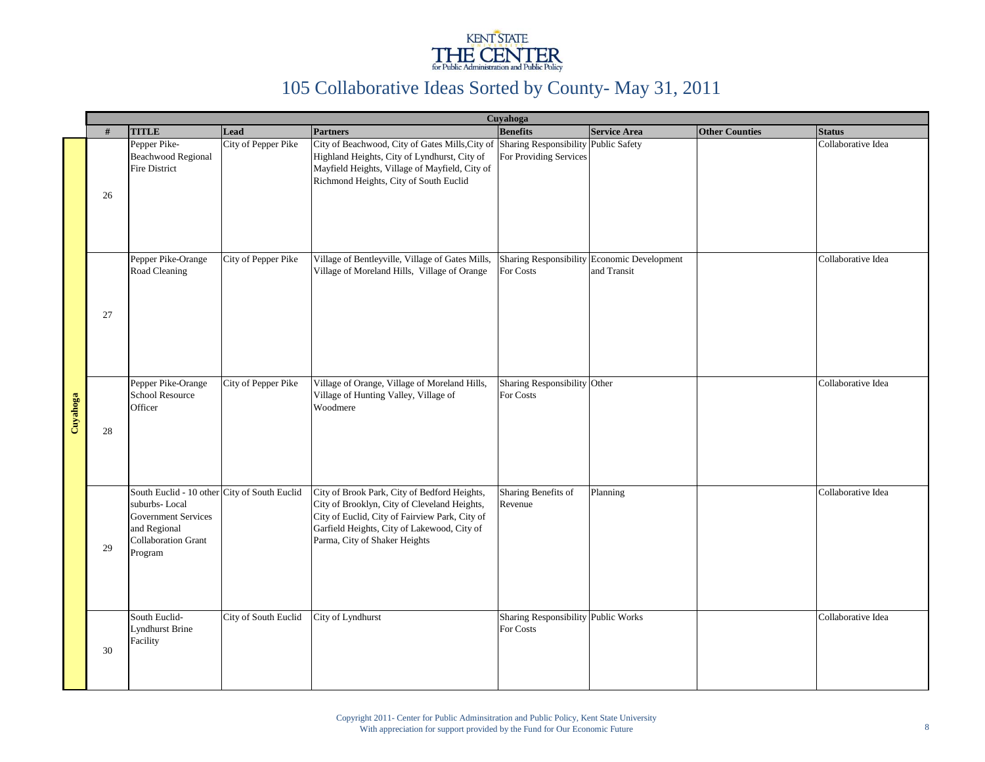

|          |    | Cuyahoga                                                                                                                                             |                            |                                                                                                                                                                                                                                  |                                                  |                                                            |                       |                    |  |  |  |  |  |
|----------|----|------------------------------------------------------------------------------------------------------------------------------------------------------|----------------------------|----------------------------------------------------------------------------------------------------------------------------------------------------------------------------------------------------------------------------------|--------------------------------------------------|------------------------------------------------------------|-----------------------|--------------------|--|--|--|--|--|
|          | #  | <b>TITLE</b>                                                                                                                                         | Lead                       | <b>Partners</b>                                                                                                                                                                                                                  | <b>Benefits</b>                                  | <b>Service Area</b>                                        | <b>Other Counties</b> | <b>Status</b>      |  |  |  |  |  |
|          | 26 | Pepper Pike-<br><b>Beachwood Regional</b><br><b>Fire District</b>                                                                                    | City of Pepper Pike        | City of Beachwood, City of Gates Mills, City of Sharing Responsibility Public Safety<br>Highland Heights, City of Lyndhurst, City of<br>Mayfield Heights, Village of Mayfield, City of<br>Richmond Heights, City of South Euclid | For Providing Services                           |                                                            |                       | Collaborative Idea |  |  |  |  |  |
|          | 27 | Pepper Pike-Orange<br>Road Cleaning                                                                                                                  | <b>City of Pepper Pike</b> | Village of Bentleyville, Village of Gates Mills,<br>Village of Moreland Hills, Village of Orange                                                                                                                                 | For Costs                                        | Sharing Responsibility Economic Development<br>and Transit |                       | Collaborative Idea |  |  |  |  |  |
| Cuyahoga | 28 | Pepper Pike-Orange<br>School Resource<br>Officer                                                                                                     | City of Pepper Pike        | Village of Orange, Village of Moreland Hills,<br>Village of Hunting Valley, Village of<br>Woodmere                                                                                                                               | Sharing Responsibility Other<br>For Costs        |                                                            |                       | Collaborative Idea |  |  |  |  |  |
|          | 29 | South Euclid - 10 other City of South Euclid<br>suburbs-Local<br><b>Government Services</b><br>and Regional<br><b>Collaboration Grant</b><br>Program |                            | City of Brook Park, City of Bedford Heights,<br>City of Brooklyn, City of Cleveland Heights,<br>City of Euclid, City of Fairview Park, City of<br>Garfield Heights, City of Lakewood, City of<br>Parma, City of Shaker Heights   | Sharing Benefits of<br>Revenue                   | Planning                                                   |                       | Collaborative Idea |  |  |  |  |  |
|          | 30 | South Euclid-<br><b>Lyndhurst Brine</b><br>Facility                                                                                                  | City of South Euclid       | City of Lyndhurst                                                                                                                                                                                                                | Sharing Responsibility Public Works<br>For Costs |                                                            |                       | Collaborative Idea |  |  |  |  |  |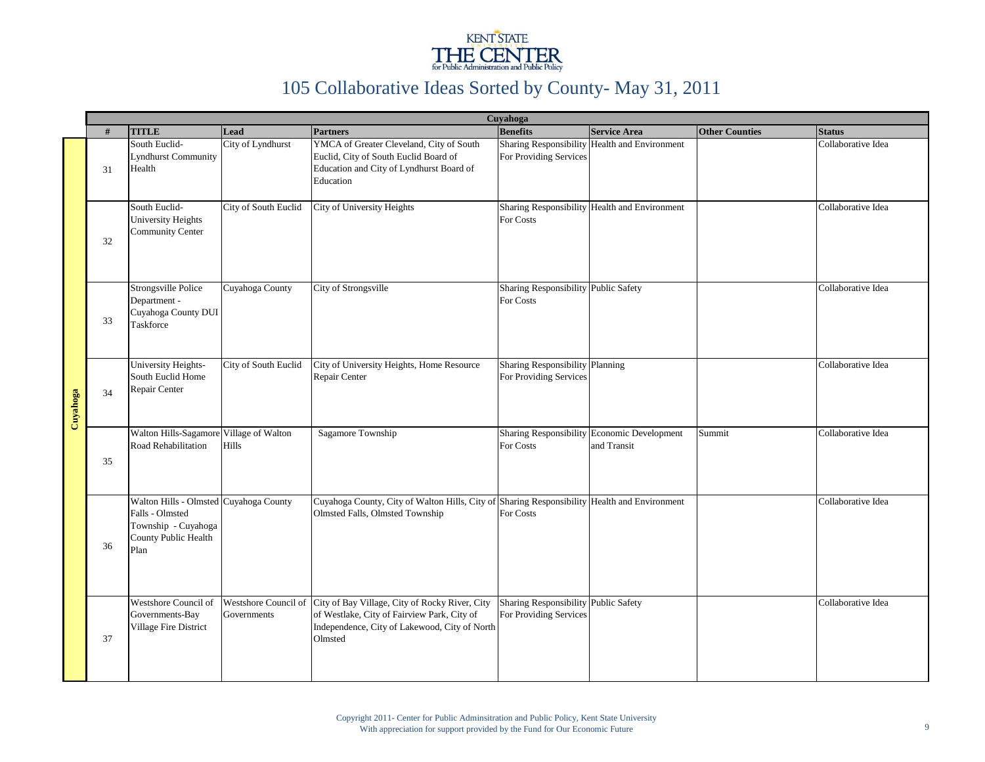

|          |    | Cuyahoga                                                                                                         |                                     |                                                                                                                                                           |                                                           |                                                            |                       |                    |  |  |  |  |  |
|----------|----|------------------------------------------------------------------------------------------------------------------|-------------------------------------|-----------------------------------------------------------------------------------------------------------------------------------------------------------|-----------------------------------------------------------|------------------------------------------------------------|-----------------------|--------------------|--|--|--|--|--|
|          | #  | <b>TITLE</b>                                                                                                     | Lead                                | <b>Partners</b>                                                                                                                                           | <b>Benefits</b>                                           | <b>Service Area</b>                                        | <b>Other Counties</b> | <b>Status</b>      |  |  |  |  |  |
|          | 31 | South Euclid-<br><b>Lyndhurst Community</b><br>Health                                                            | City of Lyndhurst                   | YMCA of Greater Cleveland, City of South<br>Euclid, City of South Euclid Board of<br>Education and City of Lyndhurst Board of<br>Education                | For Providing Services                                    | Sharing Responsibility Health and Environment              |                       | Collaborative Idea |  |  |  |  |  |
|          | 32 | South Euclid-<br><b>University Heights</b><br><b>Community Center</b>                                            | City of South Euclid                | City of University Heights                                                                                                                                | For Costs                                                 | Sharing Responsibility Health and Environment              |                       | Collaborative Idea |  |  |  |  |  |
|          | 33 | Strongsville Police<br>Department -<br>Cuyahoga County DUI<br>Taskforce                                          | Cuyahoga County                     | City of Strongsville                                                                                                                                      | Sharing Responsibility Public Safety<br>For Costs         |                                                            |                       | Collaborative Idea |  |  |  |  |  |
| Cuyahoga | 34 | University Heights-<br>South Euclid Home<br>Repair Center                                                        | City of South Euclid                | City of University Heights, Home Resource<br>Repair Center                                                                                                | Sharing Responsibility Planning<br>For Providing Services |                                                            |                       | Collaborative Idea |  |  |  |  |  |
|          | 35 | Walton Hills-Sagamore Village of Walton<br>Road Rehabilitation                                                   | <b>Hills</b>                        | Sagamore Township                                                                                                                                         | For Costs                                                 | Sharing Responsibility Economic Development<br>and Transit | Summit                | Collaborative Idea |  |  |  |  |  |
|          | 36 | Walton Hills - Olmsted Cuyahoga County<br>Falls - Olmsted<br>Township - Cuyahoga<br>County Public Health<br>Plan |                                     | Cuyahoga County, City of Walton Hills, City of<br>Olmsted Falls, Olmsted Township                                                                         | For Costs                                                 | Sharing Responsibility Health and Environment              |                       | Collaborative Idea |  |  |  |  |  |
|          | 37 | Westshore Council of<br>Governments-Bay<br>Village Fire District                                                 | Westshore Council of<br>Governments | City of Bay Village, City of Rocky River, City<br>of Westlake, City of Fairview Park, City of<br>Independence, City of Lakewood, City of North<br>Olmsted | <b>Sharing Responsibility</b><br>For Providing Services   | <b>Public Safety</b>                                       |                       | Collaborative Idea |  |  |  |  |  |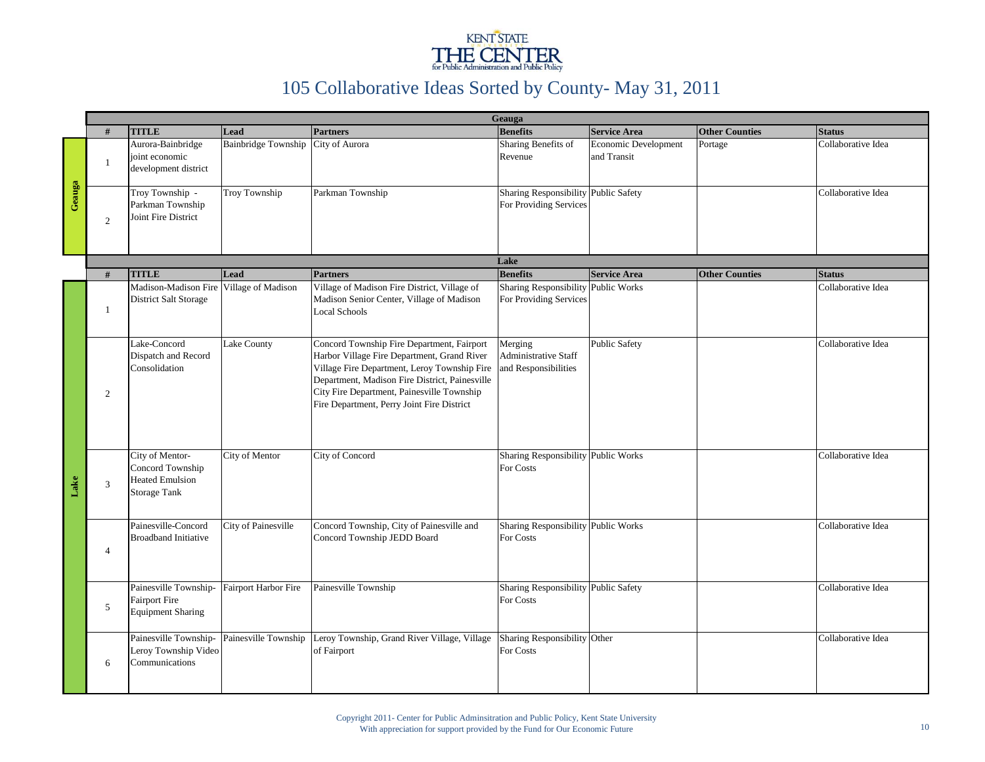

|        |                |                                                                                      | Geauga                     |                                                                                                                                                                                                                                                                                         |                                                                |                                     |                       |                    |  |  |  |  |
|--------|----------------|--------------------------------------------------------------------------------------|----------------------------|-----------------------------------------------------------------------------------------------------------------------------------------------------------------------------------------------------------------------------------------------------------------------------------------|----------------------------------------------------------------|-------------------------------------|-----------------------|--------------------|--|--|--|--|
|        | #              | <b>TITLE</b>                                                                         | Lead                       | <b>Partners</b>                                                                                                                                                                                                                                                                         | <b>Benefits</b>                                                | <b>Service Area</b>                 | <b>Other Counties</b> | <b>Status</b>      |  |  |  |  |
|        | $\mathbf{1}$   | Aurora-Bainbridge<br>joint economic<br>development district                          | <b>Bainbridge Township</b> | City of Aurora                                                                                                                                                                                                                                                                          | Sharing Benefits of<br>Revenue                                 | Economic Development<br>and Transit | Portage               | Collaborative Idea |  |  |  |  |
| Geauga | 2              | Troy Township -<br>Parkman Township<br>Joint Fire District                           | <b>Troy Township</b>       | Parkman Township                                                                                                                                                                                                                                                                        | Sharing Responsibility Public Safety<br>For Providing Services |                                     |                       | Collaborative Idea |  |  |  |  |
|        |                |                                                                                      |                            |                                                                                                                                                                                                                                                                                         | Lake                                                           |                                     |                       |                    |  |  |  |  |
|        | #              | <b>TITLE</b>                                                                         | Lead                       | <b>Partners</b>                                                                                                                                                                                                                                                                         | <b>Benefits</b>                                                | <b>Service Area</b>                 | <b>Other Counties</b> | <b>Status</b>      |  |  |  |  |
|        | $\mathbf{1}$   | Madison-Madison Fire<br>District Salt Storage                                        | Village of Madison         | Village of Madison Fire District, Village of<br>Madison Senior Center, Village of Madison<br><b>Local Schools</b>                                                                                                                                                                       | <b>Sharing Responsibility</b><br>For Providing Services        | <b>Public Works</b>                 |                       | Collaborative Idea |  |  |  |  |
|        | 2              | Lake-Concord<br>Dispatch and Record<br>Consolidation                                 | Lake County                | Concord Township Fire Department, Fairport<br>Harbor Village Fire Department, Grand River<br>Village Fire Department, Leroy Township Fire<br>Department, Madison Fire District, Painesville<br>City Fire Department, Painesville Township<br>Fire Department, Perry Joint Fire District | Merging<br><b>Administrative Staff</b><br>and Responsibilities | <b>Public Safety</b>                |                       | Collaborative Idea |  |  |  |  |
| Lake   | 3              | City of Mentor-<br>Concord Township<br><b>Heated Emulsion</b><br><b>Storage Tank</b> | City of Mentor             | City of Concord                                                                                                                                                                                                                                                                         | Sharing Responsibility Public Works<br>For Costs               |                                     |                       | Collaborative Idea |  |  |  |  |
|        | $\overline{4}$ | Painesville-Concord<br><b>Broadband Initiative</b>                                   | <b>City of Painesville</b> | Concord Township, City of Painesville and<br>Concord Township JEDD Board                                                                                                                                                                                                                | Sharing Responsibility Public Works<br>For Costs               |                                     |                       | Collaborative Idea |  |  |  |  |
|        | 5              | Painesville Township-<br><b>Fairport Fire</b><br><b>Equipment Sharing</b>            | Fairport Harbor Fire       | Painesville Township                                                                                                                                                                                                                                                                    | Sharing Responsibility Public Safety<br>For Costs              |                                     |                       | Collaborative Idea |  |  |  |  |
|        | 6              | Painesville Township-<br>Leroy Township Video<br>Communications                      | Painesville Township       | Leroy Township, Grand River Village, Village<br>of Fairport                                                                                                                                                                                                                             | Sharing Responsibility Other<br>For Costs                      |                                     |                       | Collaborative Idea |  |  |  |  |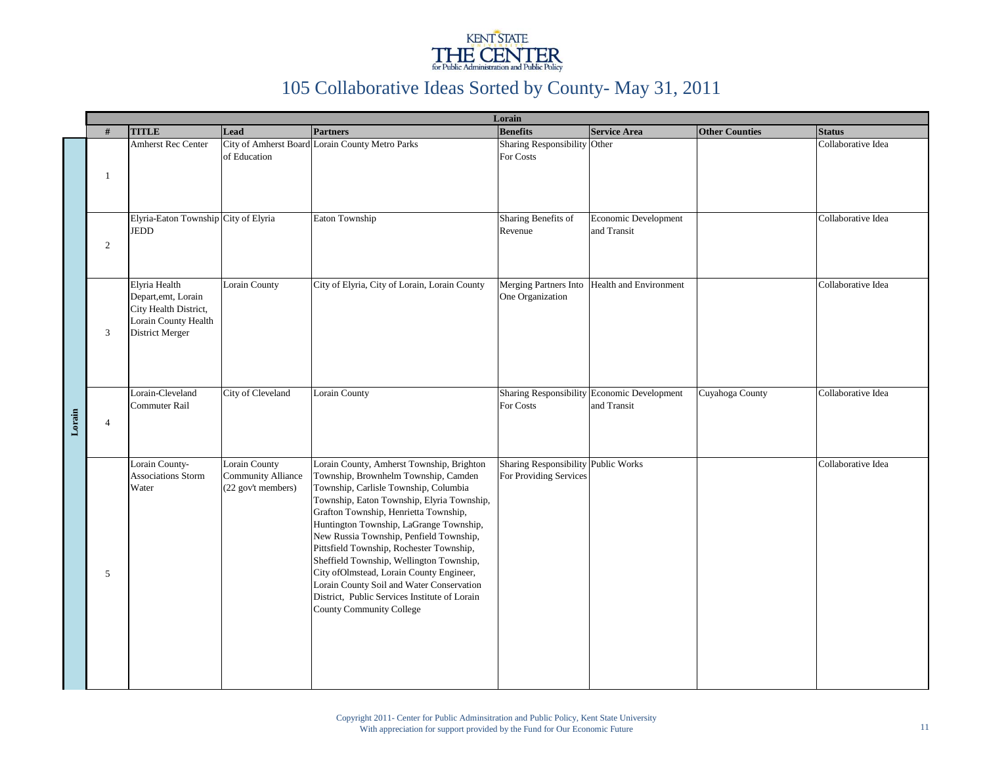

|        | Lorain         |                                                                                                          |                                                                  |                                                                                                                                                                                                                                                                                                                                                                                                                                                                                                                                                                               |                                                               |                                                            |                       |                    |
|--------|----------------|----------------------------------------------------------------------------------------------------------|------------------------------------------------------------------|-------------------------------------------------------------------------------------------------------------------------------------------------------------------------------------------------------------------------------------------------------------------------------------------------------------------------------------------------------------------------------------------------------------------------------------------------------------------------------------------------------------------------------------------------------------------------------|---------------------------------------------------------------|------------------------------------------------------------|-----------------------|--------------------|
|        | #              | <b>TITLE</b>                                                                                             | Lead                                                             | <b>Partners</b>                                                                                                                                                                                                                                                                                                                                                                                                                                                                                                                                                               | <b>Benefits</b>                                               | <b>Service Area</b>                                        | <b>Other Counties</b> | <b>Status</b>      |
|        | -1             | <b>Amherst Rec Center</b>                                                                                | of Education                                                     | City of Amherst Board Lorain County Metro Parks                                                                                                                                                                                                                                                                                                                                                                                                                                                                                                                               | Sharing Responsibility Other<br>For Costs                     |                                                            |                       | Collaborative Idea |
| Lorain | 2              | Elyria-Eaton Township City of Elyria<br><b>JEDD</b>                                                      |                                                                  | Eaton Township                                                                                                                                                                                                                                                                                                                                                                                                                                                                                                                                                                | Sharing Benefits of<br>Revenue                                | Economic Development<br>and Transit                        |                       | Collaborative Idea |
|        | 3              | Elyria Health<br>Depart, emt, Lorain<br>City Health District,<br>Lorain County Health<br>District Merger | Lorain County                                                    | City of Elyria, City of Lorain, Lorain County                                                                                                                                                                                                                                                                                                                                                                                                                                                                                                                                 | One Organization                                              | Merging Partners Into Health and Environment               |                       | Collaborative Idea |
|        | $\overline{4}$ | Lorain-Cleveland<br>Commuter Rail                                                                        | City of Cleveland                                                | Lorain County                                                                                                                                                                                                                                                                                                                                                                                                                                                                                                                                                                 | For Costs                                                     | Sharing Responsibility Economic Development<br>and Transit | Cuyahoga County       | Collaborative Idea |
|        | 5              | Lorain County-<br>Associations Storm<br>Water                                                            | Lorain County<br><b>Community Alliance</b><br>(22 gov't members) | Lorain County, Amherst Township, Brighton<br>Township, Brownhelm Township, Camden<br>Township, Carlisle Township, Columbia<br>Township, Eaton Township, Elyria Township,<br>Grafton Township, Henrietta Township,<br>Huntington Township, LaGrange Township,<br>New Russia Township, Penfield Township,<br>Pittsfield Township, Rochester Township,<br>Sheffield Township, Wellington Township,<br>City of Olmstead, Lorain County Engineer,<br>Lorain County Soil and Water Conservation<br>District, Public Services Institute of Lorain<br><b>County Community College</b> | Sharing Responsibility Public Works<br>For Providing Services |                                                            |                       | Collaborative Idea |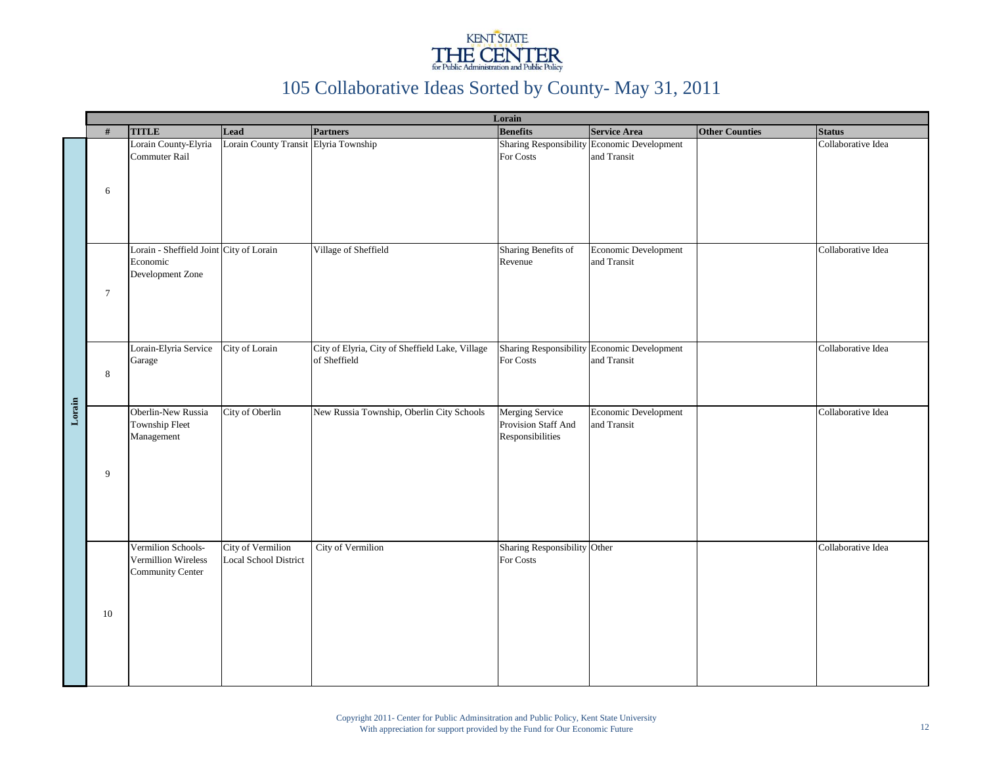

|        |                |                                                                         |                                                   |                                                                 | Lorain                                                     |                                                            |                       |                    |
|--------|----------------|-------------------------------------------------------------------------|---------------------------------------------------|-----------------------------------------------------------------|------------------------------------------------------------|------------------------------------------------------------|-----------------------|--------------------|
|        | #              | <b>TITLE</b>                                                            | Lead                                              | <b>Partners</b>                                                 | <b>Benefits</b>                                            | <b>Service Area</b>                                        | <b>Other Counties</b> | <b>Status</b>      |
|        | 6              | Lorain County-Elyria<br>Commuter Rail                                   | Lorain County Transit Elyria Township             |                                                                 | For Costs                                                  | Sharing Responsibility Economic Development<br>and Transit |                       | Collaborative Idea |
|        | $\overline{7}$ | Lorain - Sheffield Joint City of Lorain<br>Economic<br>Development Zone |                                                   | Village of Sheffield                                            | Sharing Benefits of<br>Revenue                             | Economic Development<br>and Transit                        |                       | Collaborative Idea |
|        | 8              | Lorain-Elyria Service<br>Garage                                         | City of Lorain                                    | City of Elyria, City of Sheffield Lake, Village<br>of Sheffield | For Costs                                                  | Sharing Responsibility Economic Development<br>and Transit |                       | Collaborative Idea |
| Lorain | 9              | Oberlin-New Russia<br>Township Fleet<br>Management                      | City of Oberlin                                   | New Russia Township, Oberlin City Schools                       | Merging Service<br>Provision Staff And<br>Responsibilities | Economic Development<br>and Transit                        |                       | Collaborative Idea |
|        | 10             | Vermilion Schools-<br>Vermillion Wireless<br>Community Center           | <b>City of Vermilion</b><br>Local School District | <b>City of Vermilion</b>                                        | Sharing Responsibility Other<br>For Costs                  |                                                            |                       | Collaborative Idea |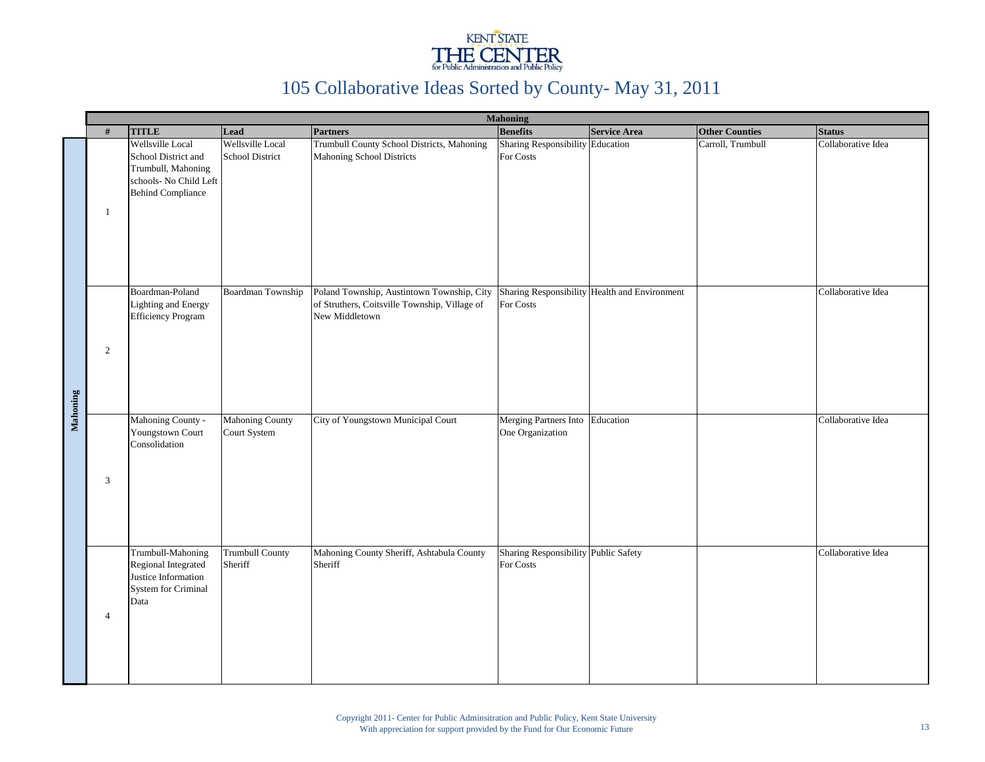

|          |                |                                                                                                                     |                                            |                                                                                                               | <b>Mahoning</b>                                   |                                               |                       |                    |
|----------|----------------|---------------------------------------------------------------------------------------------------------------------|--------------------------------------------|---------------------------------------------------------------------------------------------------------------|---------------------------------------------------|-----------------------------------------------|-----------------------|--------------------|
|          | #              | <b>TITLE</b>                                                                                                        | Lead                                       | <b>Partners</b>                                                                                               | <b>Benefits</b>                                   | <b>Service Area</b>                           | <b>Other Counties</b> | <b>Status</b>      |
|          | 1              | Wellsville Local<br>School District and<br>Trumbull, Mahoning<br>schools- No Child Left<br><b>Behind Compliance</b> | Wellsville Local<br><b>School District</b> | Trumbull County School Districts, Mahoning<br>Mahoning School Districts                                       | Sharing Responsibility Education<br>For Costs     |                                               | Carroll, Trumbull     | Collaborative Idea |
| Mahoning | 2              | Boardman-Poland<br>Lighting and Energy<br><b>Efficiency Program</b>                                                 | Boardman Township                          | Poland Township, Austintown Township, City<br>of Struthers, Coitsville Township, Village of<br>New Middletown | For Costs                                         | Sharing Responsibility Health and Environment |                       | Collaborative Idea |
|          | 3              | Mahoning County -<br>Youngstown Court<br>Consolidation                                                              | Mahoning County<br>Court System            | City of Youngstown Municipal Court                                                                            | Merging Partners Into<br>One Organization         | Education                                     |                       | Collaborative Idea |
|          | $\overline{4}$ | Trumbull-Mahoning<br>Regional Integrated<br>Justice Information<br>System for Criminal<br>Data                      | <b>Trumbull County</b><br>Sheriff          | Mahoning County Sheriff, Ashtabula County<br>Sheriff                                                          | Sharing Responsibility Public Safety<br>For Costs |                                               |                       | Collaborative Idea |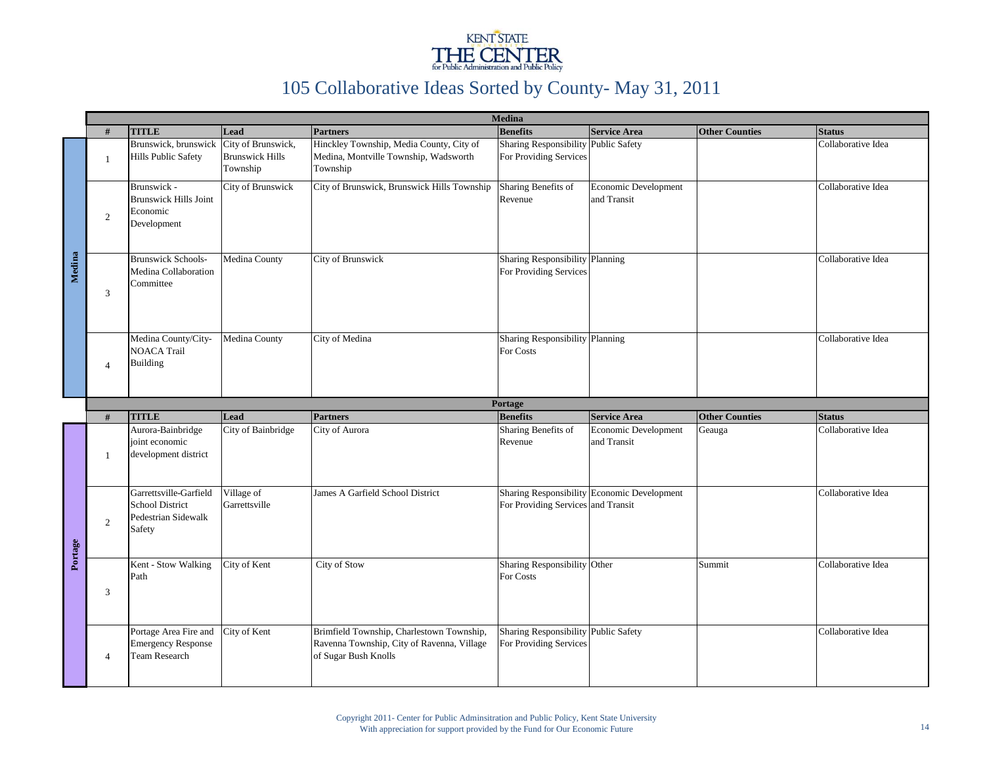

|         |                          |                                                                                   |                                                          |                                                                                                                 | <b>Medina</b>                                                  |                                             |                       |                    |
|---------|--------------------------|-----------------------------------------------------------------------------------|----------------------------------------------------------|-----------------------------------------------------------------------------------------------------------------|----------------------------------------------------------------|---------------------------------------------|-----------------------|--------------------|
|         | #                        | <b>TITLE</b>                                                                      | Lead                                                     | <b>Partners</b>                                                                                                 | <b>Benefits</b>                                                | <b>Service Area</b>                         | <b>Other Counties</b> | <b>Status</b>      |
|         | $\mathbf{1}$             | Brunswick, brunswick<br><b>Hills Public Safety</b>                                | City of Brunswick,<br><b>Brunswick Hills</b><br>Township | Hinckley Township, Media County, City of<br>Medina, Montville Township, Wadsworth<br>Township                   | <b>Sharing Responsibility</b><br>For Providing Services        | <b>Public Safety</b>                        |                       | Collaborative Idea |
| Medina  | $\overline{2}$           | Brunswick -<br><b>Brunswick Hills Joint</b><br>Economic<br>Development            | City of Brunswick                                        | City of Brunswick, Brunswick Hills Township                                                                     | Sharing Benefits of<br>Revenue                                 | Economic Development<br>and Transit         |                       | Collaborative Idea |
|         | 3                        | <b>Brunswick Schools-</b><br>Medina Collaboration<br>Committee                    | Medina County                                            | City of Brunswick                                                                                               | Sharing Responsibility Planning<br>For Providing Services      |                                             |                       | Collaborative Idea |
|         | $\boldsymbol{\varDelta}$ | Medina County/City-<br><b>NOACA Trail</b><br><b>Building</b>                      | Medina County                                            | City of Medina                                                                                                  | Sharing Responsibility Planning<br>For Costs                   |                                             |                       | Collaborative Idea |
|         |                          |                                                                                   |                                                          |                                                                                                                 | Portage                                                        |                                             |                       |                    |
|         | #                        | <b>TITLE</b>                                                                      | Lead                                                     | <b>Partners</b>                                                                                                 | <b>Benefits</b>                                                | <b>Service Area</b>                         | <b>Other Counties</b> | <b>Status</b>      |
|         | $\overline{1}$           | Aurora-Bainbridge<br>joint economic<br>development district                       | City of Bainbridge                                       | City of Aurora                                                                                                  | Sharing Benefits of<br>Revenue                                 | Economic Development<br>and Transit         | Geauga                | Collaborative Idea |
| Portage | 2                        | Garrettsville-Garfield<br><b>School District</b><br>Pedestrian Sidewalk<br>Safety | Village of<br>Garrettsville                              | James A Garfield School District                                                                                | For Providing Services and Transit                             | Sharing Responsibility Economic Development |                       | Collaborative Idea |
|         | 3                        | Kent - Stow Walking<br>Path                                                       | City of Kent                                             | City of Stow                                                                                                    | Sharing Responsibility Other<br>For Costs                      |                                             | Summit                | Collaborative Idea |
|         | $\overline{4}$           | Portage Area Fire and<br><b>Emergency Response</b><br>Team Research               | City of Kent                                             | Brimfield Township, Charlestown Township,<br>Ravenna Township, City of Ravenna, Village<br>of Sugar Bush Knolls | Sharing Responsibility Public Safety<br>For Providing Services |                                             |                       | Collaborative Idea |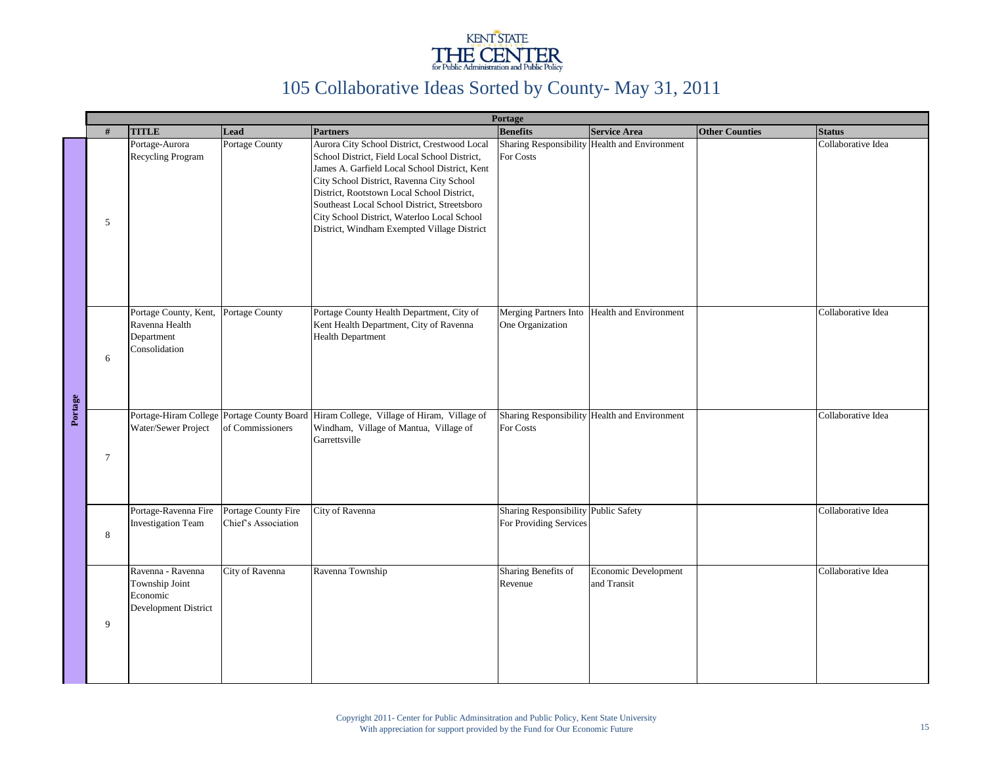

|         |        |                                                                         |                                            |                                                                                                                                                                                                                                                                                                                                                                                         | Portage                                                        |                                               |                       |                    |
|---------|--------|-------------------------------------------------------------------------|--------------------------------------------|-----------------------------------------------------------------------------------------------------------------------------------------------------------------------------------------------------------------------------------------------------------------------------------------------------------------------------------------------------------------------------------------|----------------------------------------------------------------|-----------------------------------------------|-----------------------|--------------------|
|         | #      | <b>TITLE</b>                                                            | Lead                                       | <b>Partners</b>                                                                                                                                                                                                                                                                                                                                                                         | <b>Benefits</b>                                                | <b>Service Area</b>                           | <b>Other Counties</b> | <b>Status</b>      |
|         | 5      | Portage-Aurora<br>Recycling Program                                     | Portage County                             | Aurora City School District, Crestwood Local<br>School District, Field Local School District,<br>James A. Garfield Local School District, Kent<br>City School District, Ravenna City School<br>District, Rootstown Local School District,<br>Southeast Local School District, Streetsboro<br>City School District, Waterloo Local School<br>District, Windham Exempted Village District | For Costs                                                      | Sharing Responsibility Health and Environment |                       | Collaborative Idea |
|         | 6      | Portage County, Kent,<br>Ravenna Health<br>Department<br>Consolidation  | Portage County                             | Portage County Health Department, City of<br>Kent Health Department, City of Ravenna<br><b>Health Department</b>                                                                                                                                                                                                                                                                        | Merging Partners Into<br>One Organization                      | Health and Environment                        |                       | Collaborative Idea |
| Portage | $\tau$ | Water/Sewer Project                                                     | of Commissioners                           | Portage-Hiram College Portage County Board Hiram College, Village of Hiram, Village of<br>Windham, Village of Mantua, Village of<br>Garrettsville                                                                                                                                                                                                                                       | For Costs                                                      | Sharing Responsibility Health and Environment |                       | Collaborative Idea |
|         | 8      | Portage-Ravenna Fire<br><b>Investigation Team</b>                       | Portage County Fire<br>Chief's Association | City of Ravenna                                                                                                                                                                                                                                                                                                                                                                         | Sharing Responsibility Public Safety<br>For Providing Services |                                               |                       | Collaborative Idea |
|         | 9      | Ravenna - Ravenna<br>Township Joint<br>Economic<br>Development District | City of Ravenna                            | Ravenna Township                                                                                                                                                                                                                                                                                                                                                                        | Sharing Benefits of<br>Revenue                                 | Economic Development<br>and Transit           |                       | Collaborative Idea |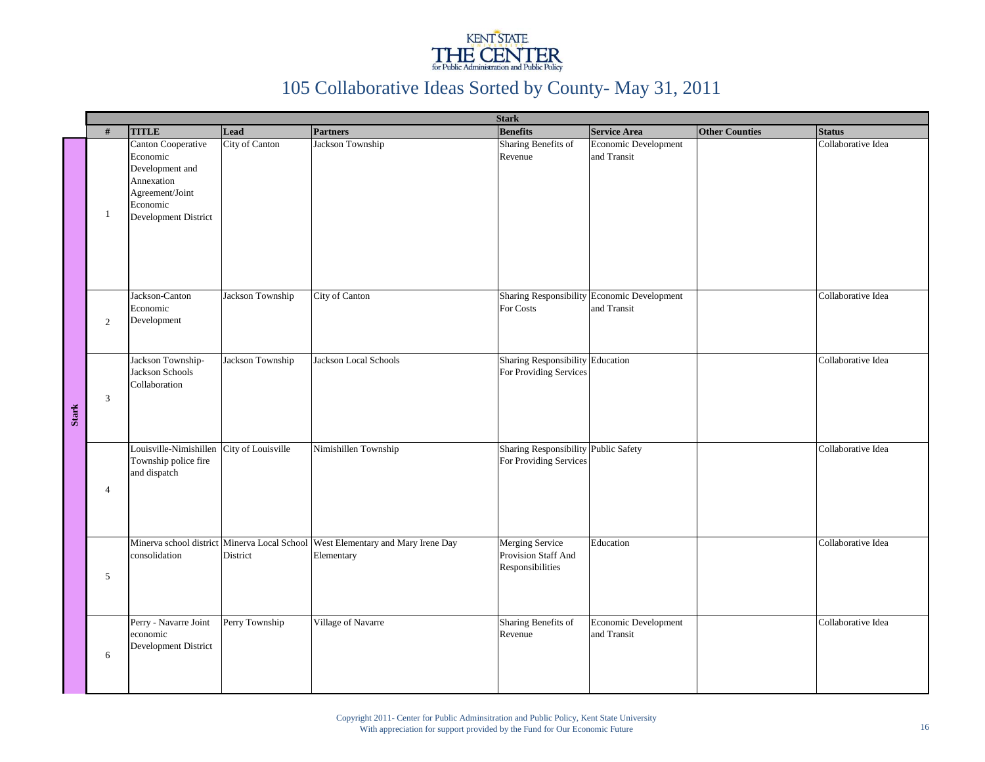

|              |                |                                                                                                                        | <b>Stark</b>       |                                                                                                 |                                                                   |                                                            |                       |                    |  |  |
|--------------|----------------|------------------------------------------------------------------------------------------------------------------------|--------------------|-------------------------------------------------------------------------------------------------|-------------------------------------------------------------------|------------------------------------------------------------|-----------------------|--------------------|--|--|
|              | #              | <b>TITLE</b>                                                                                                           | Lead               | <b>Partners</b>                                                                                 | <b>Benefits</b>                                                   | <b>Service Area</b>                                        | <b>Other Counties</b> | <b>Status</b>      |  |  |
|              | $\mathbf{1}$   | Canton Cooperative<br>Economic<br>Development and<br>Annexation<br>Agreement/Joint<br>Economic<br>Development District | City of Canton     | Jackson Township                                                                                | Sharing Benefits of<br>Revenue                                    | Economic Development<br>and Transit                        |                       | Collaborative Idea |  |  |
|              | 2              | Jackson-Canton<br>Economic<br>Development                                                                              | Jackson Township   | City of Canton                                                                                  | For Costs                                                         | Sharing Responsibility Economic Development<br>and Transit |                       | Collaborative Idea |  |  |
| <b>Stark</b> | 3              | Jackson Township-<br>Jackson Schools<br>Collaboration                                                                  | Jackson Township   | Jackson Local Schools                                                                           | Sharing Responsibility Education<br>For Providing Services        |                                                            |                       | Collaborative Idea |  |  |
|              | $\overline{4}$ | Louisville-Nimishillen<br>Township police fire<br>and dispatch                                                         | City of Louisville | Nimishillen Township                                                                            | Sharing Responsibility Public Safety<br>For Providing Services    |                                                            |                       | Collaborative Idea |  |  |
|              | 5              | consolidation                                                                                                          | District           | Minerva school district Minerva Local School   West Elementary and Mary Irene Day<br>Elementary | <b>Merging Service</b><br>Provision Staff And<br>Responsibilities | Education                                                  |                       | Collaborative Idea |  |  |
|              | 6              | Perry - Navarre Joint<br>economic<br>Development District                                                              | Perry Township     | Village of Navarre                                                                              | Sharing Benefits of<br>Revenue                                    | Economic Development<br>and Transit                        |                       | Collaborative Idea |  |  |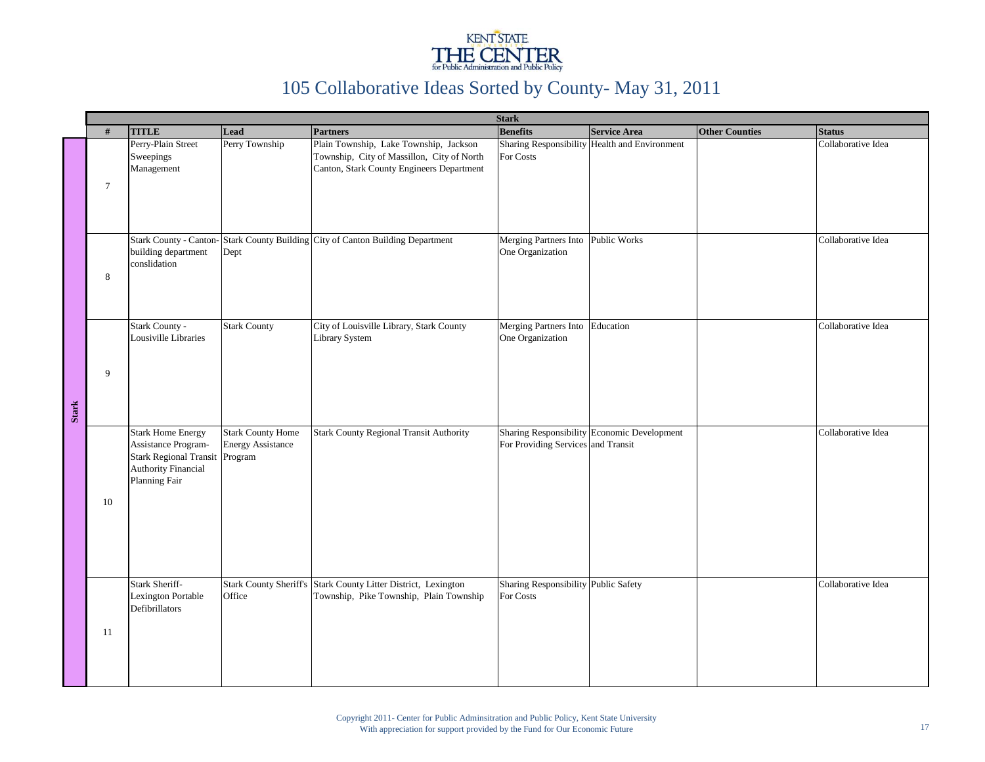

|              |                |                                                                                                                                 |                                                                 |                                                                                                                                   | <b>Stark</b>                                           |                                               |                       |                    |
|--------------|----------------|---------------------------------------------------------------------------------------------------------------------------------|-----------------------------------------------------------------|-----------------------------------------------------------------------------------------------------------------------------------|--------------------------------------------------------|-----------------------------------------------|-----------------------|--------------------|
|              | #              | <b>TITLE</b>                                                                                                                    | Lead                                                            | <b>Partners</b>                                                                                                                   | <b>Benefits</b>                                        | <b>Service Area</b>                           | <b>Other Counties</b> | <b>Status</b>      |
|              | $\overline{7}$ | Perry-Plain Street<br>Sweepings<br>Management                                                                                   | Perry Township                                                  | Plain Township, Lake Township, Jackson<br>Township, City of Massillon, City of North<br>Canton, Stark County Engineers Department | For Costs                                              | Sharing Responsibility Health and Environment |                       | Collaborative Idea |
|              | 8              | building department<br>conslidation                                                                                             | Dept                                                            | Stark County - Canton- Stark County Building City of Canton Building Department                                                   | Merging Partners Into Public Works<br>One Organization |                                               |                       | Collaborative Idea |
| <b>Stark</b> | 9              | Stark County -<br>Lousiville Libraries                                                                                          | <b>Stark County</b>                                             | City of Louisville Library, Stark County<br><b>Library System</b>                                                                 | Merging Partners Into<br>One Organization              | Education                                     |                       | Collaborative Idea |
|              | 10             | <b>Stark Home Energy</b><br>Assistance Program-<br><b>Stark Regional Transit</b><br><b>Authority Financial</b><br>Planning Fair | <b>Stark County Home</b><br><b>Energy Assistance</b><br>Program | <b>Stark County Regional Transit Authority</b>                                                                                    | For Providing Services and Transit                     | Sharing Responsibility Economic Development   |                       | Collaborative Idea |
|              | 11             | Stark Sheriff-<br>Lexington Portable<br>Defibrillators                                                                          | Office                                                          | Stark County Sheriff's Stark County Litter District, Lexington<br>Township, Pike Township, Plain Township                         | Sharing Responsibility Public Safety<br>For Costs      |                                               |                       | Collaborative Idea |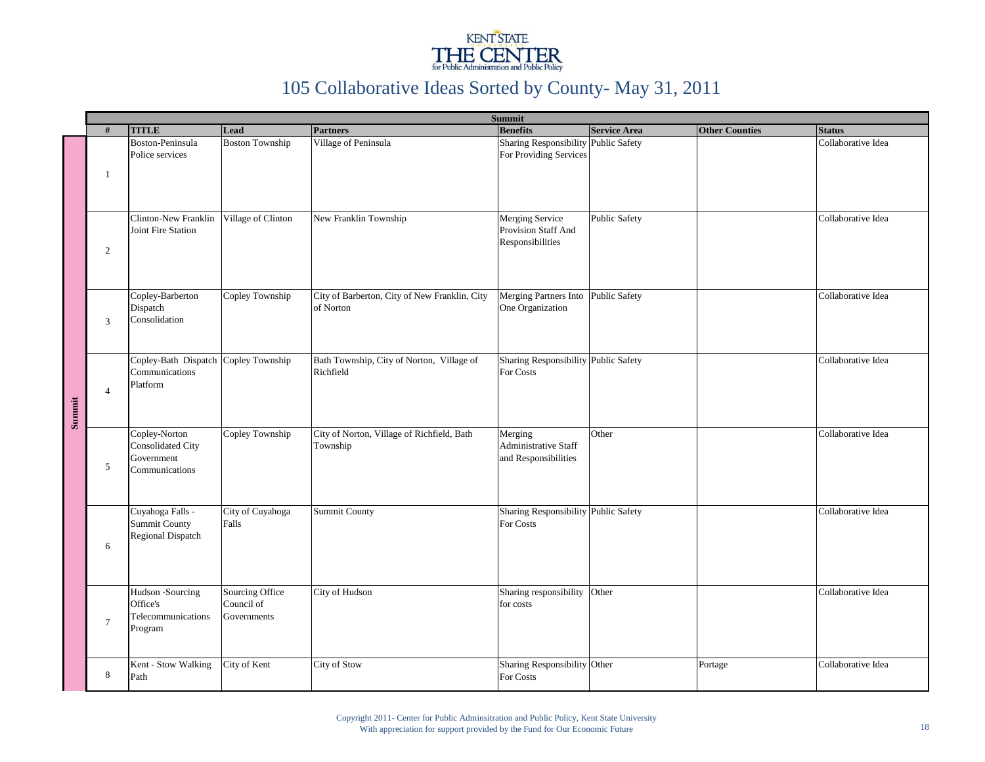

|        |                |                                                                      | <b>Summit</b>                                |                                                            |                                                                   |                      |                       |                    |  |
|--------|----------------|----------------------------------------------------------------------|----------------------------------------------|------------------------------------------------------------|-------------------------------------------------------------------|----------------------|-----------------------|--------------------|--|
|        | #              | <b>TITLE</b>                                                         | Lead                                         | <b>Partners</b>                                            | <b>Benefits</b>                                                   | <b>Service Area</b>  | <b>Other Counties</b> | <b>Status</b>      |  |
|        | -1             | Boston-Peninsula<br>Police services                                  | <b>Boston Township</b>                       | Village of Peninsula                                       | Sharing Responsibility Public Safety<br>For Providing Services    |                      |                       | Collaborative Idea |  |
| Summit | 2              | Clinton-New Franklin<br>Joint Fire Station                           | Village of Clinton                           | New Franklin Township                                      | <b>Merging Service</b><br>Provision Staff And<br>Responsibilities | <b>Public Safety</b> |                       | Collaborative Idea |  |
|        | 3              | Copley-Barberton<br>Dispatch<br>Consolidation                        | Copley Township                              | City of Barberton, City of New Franklin, City<br>of Norton | Merging Partners Into Public Safety<br>One Organization           |                      |                       | Collaborative Idea |  |
|        | $\overline{4}$ | Copley-Bath Dispatch<br>Communications<br>Platform                   | Copley Township                              | Bath Township, City of Norton, Village of<br>Richfield     | Sharing Responsibility Public Safety<br>For Costs                 |                      |                       | Collaborative Idea |  |
|        | 5              | Copley-Norton<br>Consolidated City<br>Government<br>Communications   | Copley Township                              | City of Norton, Village of Richfield, Bath<br>Township     | Merging<br>Administrative Staff<br>and Responsibilities           | Other                |                       | Collaborative Idea |  |
|        | 6              | Cuyahoga Falls -<br><b>Summit County</b><br><b>Regional Dispatch</b> | City of Cuyahoga<br>Falls                    | Summit County                                              | Sharing Responsibility Public Safety<br>For Costs                 |                      |                       | Collaborative Idea |  |
|        | $\overline{7}$ | Hudson -Sourcing<br>Office's<br>Telecommunications<br>Program        | Sourcing Office<br>Council of<br>Governments | City of Hudson                                             | Sharing responsibility<br>for costs                               | Other                |                       | Collaborative Idea |  |
|        | 8              | Kent - Stow Walking<br>Path                                          | City of Kent                                 | City of Stow                                               | Sharing Responsibility Other<br>For Costs                         |                      | Portage               | Collaborative Idea |  |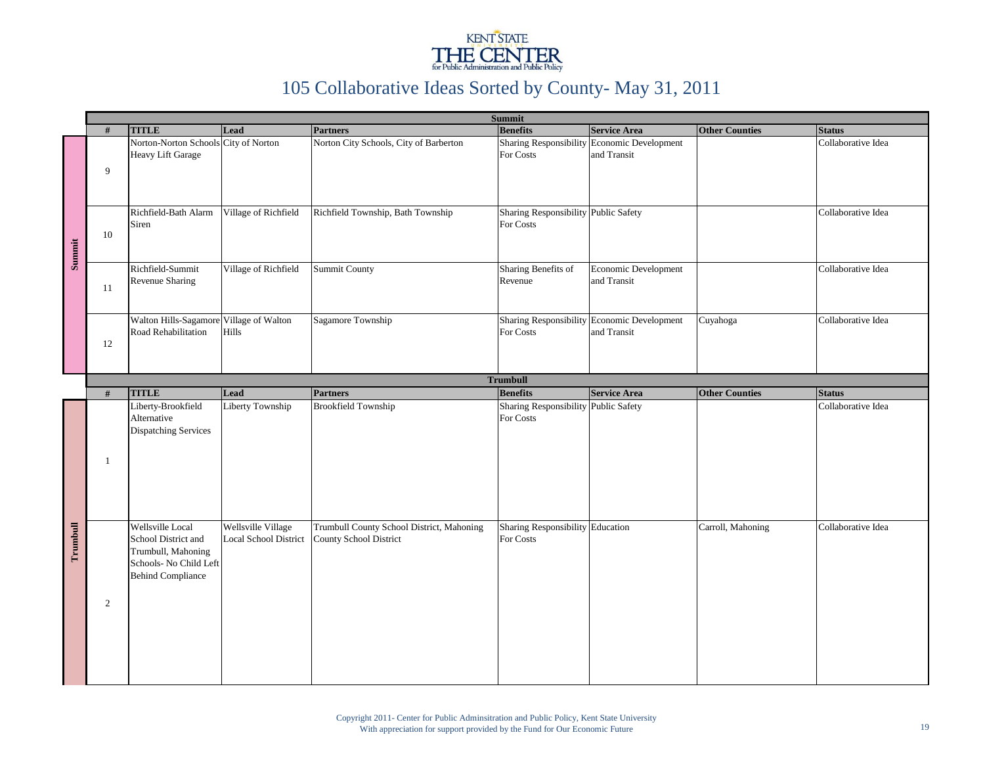

|          |                 |                                                                                                                     |                                                    | <b>Summit</b>                                                              |                                                   |                                                            |                       |                    |  |  |
|----------|-----------------|---------------------------------------------------------------------------------------------------------------------|----------------------------------------------------|----------------------------------------------------------------------------|---------------------------------------------------|------------------------------------------------------------|-----------------------|--------------------|--|--|
|          | #               | <b>TITLE</b>                                                                                                        | Lead                                               | <b>Partners</b>                                                            | <b>Benefits</b>                                   | <b>Service Area</b>                                        | <b>Other Counties</b> | <b>Status</b>      |  |  |
| Summit   | 9               | Norton-Norton Schools City of Norton<br><b>Heavy Lift Garage</b>                                                    |                                                    | Norton City Schools, City of Barberton                                     | <b>Sharing Responsibility</b><br>For Costs        | Economic Development<br>and Transit                        |                       | Collaborative Idea |  |  |
|          | 10              | Richfield-Bath Alarm<br>Siren                                                                                       | Village of Richfield                               | Richfield Township, Bath Township                                          | Sharing Responsibility Public Safety<br>For Costs |                                                            |                       | Collaborative Idea |  |  |
|          | 11              | Richfield-Summit<br>Revenue Sharing                                                                                 | Village of Richfield                               | <b>Summit County</b>                                                       | Sharing Benefits of<br>Revenue                    | Economic Development<br>and Transit                        |                       | Collaborative Idea |  |  |
|          | 12              | Walton Hills-Sagamore Village of Walton<br>Road Rehabilitation                                                      | Hills                                              | Sagamore Township                                                          | For Costs                                         | Sharing Responsibility Economic Development<br>and Transit | Cuyahoga              | Collaborative Idea |  |  |
|          | <b>Trumbull</b> |                                                                                                                     |                                                    |                                                                            |                                                   |                                                            |                       |                    |  |  |
|          | #               | <b>TITLE</b>                                                                                                        | Lead                                               | <b>Partners</b>                                                            | <b>Benefits</b>                                   | <b>Service Area</b>                                        | <b>Other Counties</b> | <b>Status</b>      |  |  |
|          | $\overline{1}$  | Liberty-Brookfield<br>Alternative<br><b>Dispatching Services</b>                                                    | Liberty Township                                   | <b>Brookfield Township</b>                                                 | Sharing Responsibility Public Safety<br>For Costs |                                                            |                       | Collaborative Idea |  |  |
| Trumbull | 2               | Wellsville Local<br>School District and<br>Trumbull, Mahoning<br>Schools- No Child Left<br><b>Behind Compliance</b> | Wellsville Village<br><b>Local School District</b> | Trumbull County School District, Mahoning<br><b>County School District</b> | Sharing Responsibility Education<br>For Costs     |                                                            | Carroll, Mahoning     | Collaborative Idea |  |  |